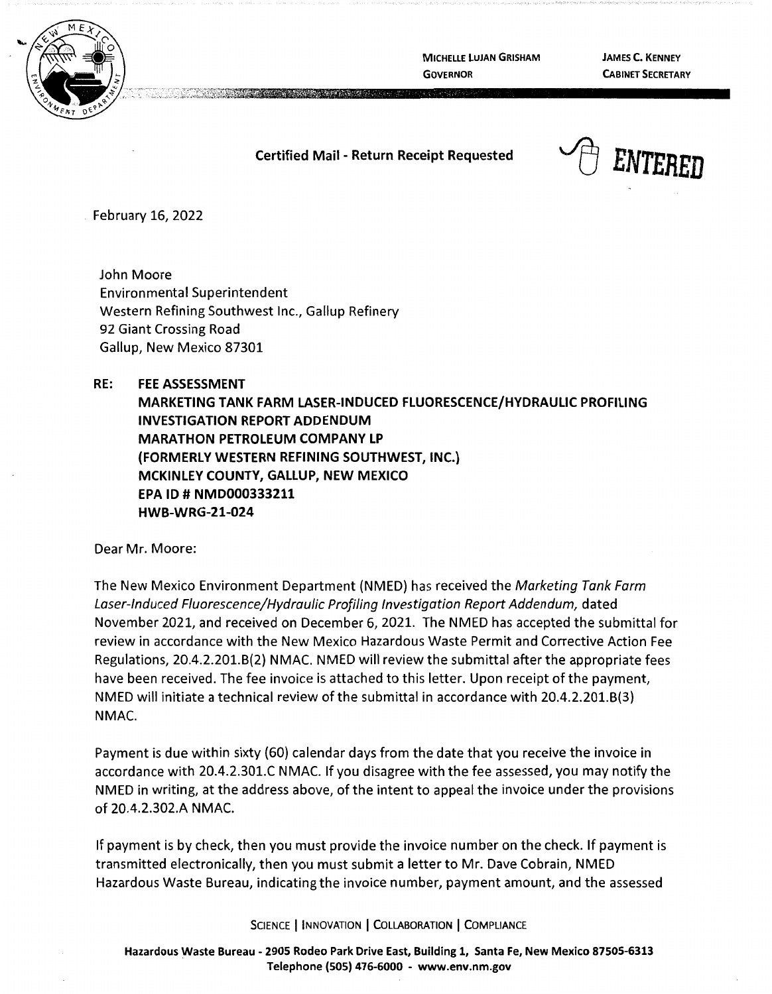

**MICHELLE LUJAN GRISHAM GOVERNOR** 

**JAMES C. KENNEY CABINET SECRETARY** 

## **Certified Mail** - **Return Receipt Requested**



February 16, 2022

John Moore Environmental Superintendent Western Refining Southwest Inc., Gallup Refinery 92 Giant Crossing Road Gallup, New Mexico 87301

## **RE: FEE ASSESSMENT**

**MARKETING TANK FARM LASER-INDUCED FLUORESCENCE/HYDRAULIC PROFILING INVESTIGATION REPORT ADDENDUM MARATHON PETROLEUM COMPANY LP {FORMERLY WESTERN REFINING SOUTHWEST, INC.) MCKINLEY COUNTY, GALLUP, NEW MEXICO EPA ID# NMD000333211 HWB-WRG-21-024** 

Dear Mr. Moore:

The New Mexico Environment Department (NMED) has received the Marketing Tank Farm Laser-Induced Fluorescence/Hydraulic Profiling Investigation Report Addendum, dated November 2021, and received on December 6, 2021. The NMED has accepted the submittal for review in accordance with the New Mexico Hazardous Waste Permit and Corrective Action Fee Regulations, 20.4.2.201.8(2) NMAC. NMED will review the submittal after the appropriate fees have been received. The fee invoice is attached to this letter. Upon receipt of the payment, NMED will initiate a technical review of the submittal in accordance with 20.4.2.201.8(3) **NMAC.** 

Payment is due within sixty (60) calendar days from the date that you receive the invoice in accordance with 20.4.2.301.C NMAC. If you disagree with the fee assessed, you may notify the NMED in writing, at the address above, of the intent to appeal the invoice under the provisions of 20.4.2.302.A NMAC.

If payment is by check, then you must provide the invoice number on the check. If payment is transmitted electronically, then you must submit a letter to Mr. Dave Cobrain, NMED Hazardous Waste Bureau, indicating the invoice number, payment amount, and the assessed

SCIENCE | INNOVATION | COLLABORATION | COMPLIANCE

**Hazardous Waste Bureau** - **2905 Rodeo Park Drive East, Building 1, Santa Fe, New Mexico 87505-6313 Telephone (SOS) 476-6000** - **www.env.nm.gov**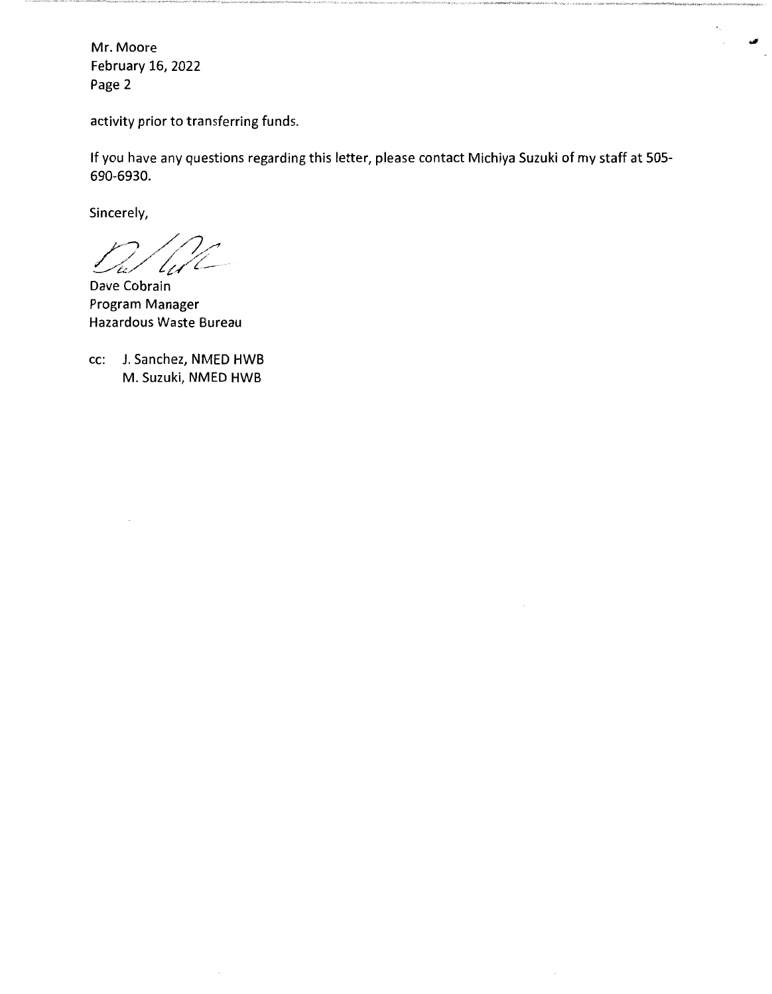Mr. Moore February 16, 2022 Page 2

activity prior to transferring funds.

If you have any questions regarding this letter, please contact Michiya Suzuki of my staff at 505- 690-6930.

Sincerely,

 $n/2$ *0,t\_~//I;///:\_,* 

Dave Cobrain Program Manager Hazardous Waste Bureau

cc: J. Sanchez, NMED HWB M. Suzuki, NMED HWB